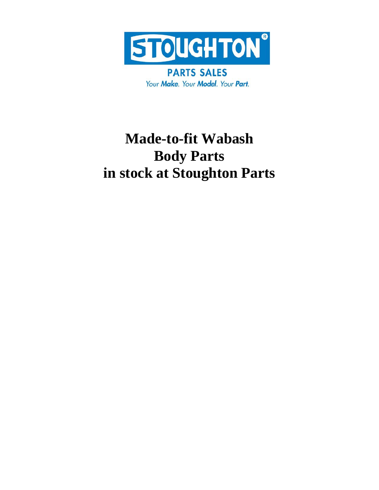

**PARTS SALES** Your Make. Your Model. Your Part.

## **Made-to-fit Wabash Body Parts in stock at Stoughton Parts**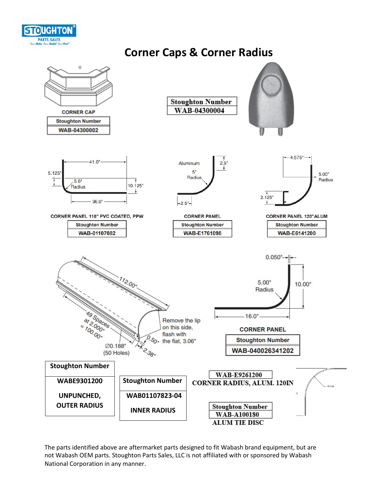

### **Corner Caps & Corner Radius**

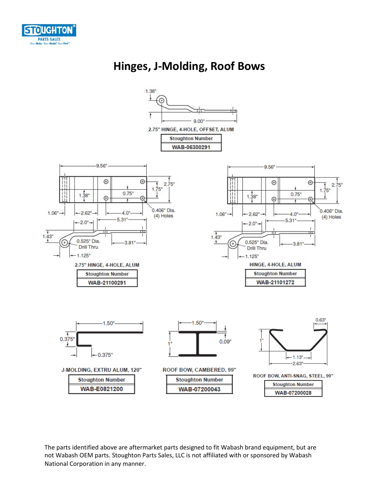

### **Hinges, J-Molding, Roof Bows**

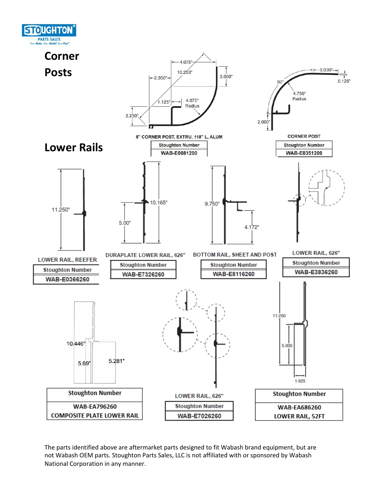

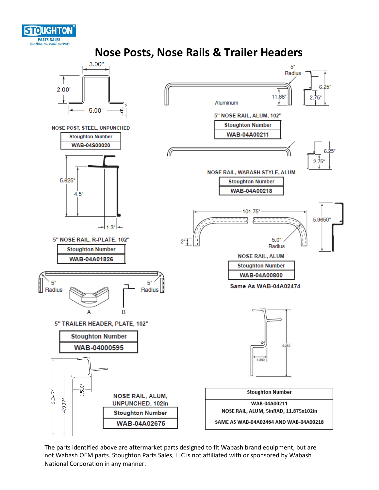

**Nose Posts, Nose Rails & Trailer Headers**

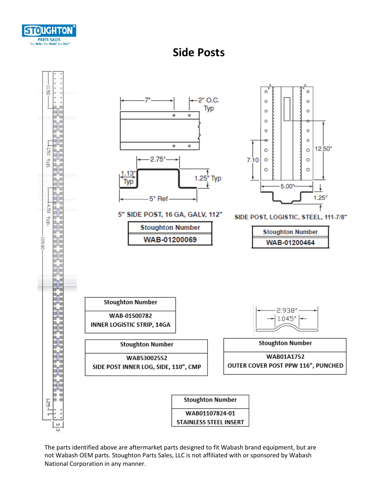



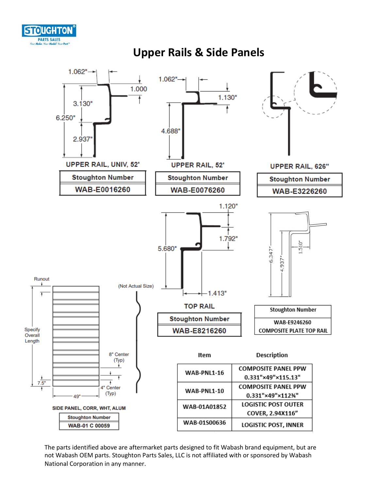



#### **Upper Rails & Side Panels**

The parts identified above are aftermarket parts designed to fit Wabash brand equipment, but are not Wabash OEM parts. Stoughton Parts Sales, LLC is not affiliated with or sponsored by Wabash National Corporation in any manner.

WAB-01S00636

**Stoughton Number** 

**WAB-01 C 00059** 

COVER, 2.94X116"

**LOGISTIC POST, INNER**